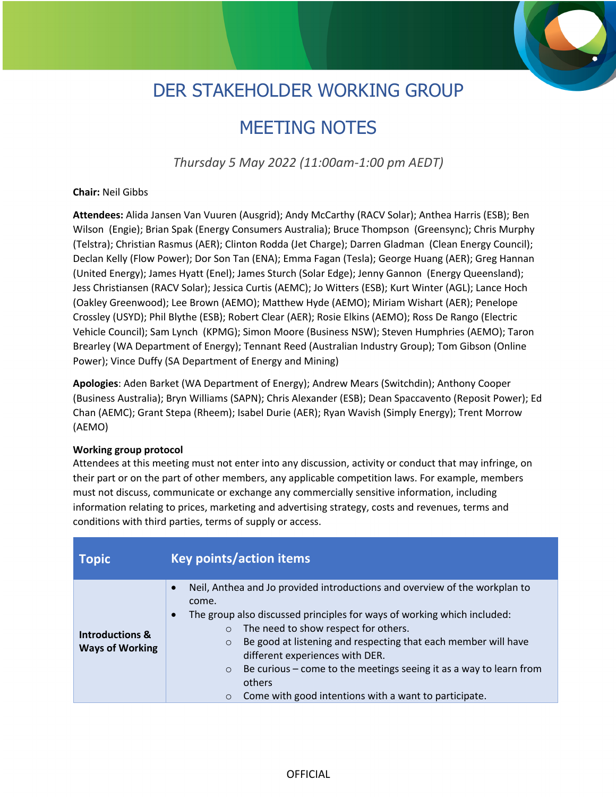## DER STAKEHOLDER WORKING GROUP

## MEETING NOTES

*Thursday 5 May 2022 (11:00am-1:00 pm AEDT)*

## **Chair:** Neil Gibbs

**Attendees:** Alida Jansen Van Vuuren (Ausgrid); Andy McCarthy (RACV Solar); Anthea Harris (ESB); Ben Wilson (Engie); Brian Spak (Energy Consumers Australia); Bruce Thompson (Greensync); Chris Murphy (Telstra); Christian Rasmus (AER); Clinton Rodda (Jet Charge); Darren Gladman (Clean Energy Council); Declan Kelly (Flow Power); Dor Son Tan (ENA); Emma Fagan (Tesla); George Huang (AER); Greg Hannan (United Energy); James Hyatt (Enel); James Sturch (Solar Edge); Jenny Gannon (Energy Queensland); Jess Christiansen (RACV Solar); Jessica Curtis (AEMC); Jo Witters (ESB); Kurt Winter (AGL); Lance Hoch (Oakley Greenwood); Lee Brown (AEMO); Matthew Hyde (AEMO); Miriam Wishart (AER); Penelope Crossley (USYD); Phil Blythe (ESB); Robert Clear (AER); Rosie Elkins (AEMO); Ross De Rango (Electric Vehicle Council); Sam Lynch (KPMG); Simon Moore (Business NSW); Steven Humphries (AEMO); Taron Brearley (WA Department of Energy); Tennant Reed (Australian Industry Group); Tom Gibson (Online Power); Vince Duffy (SA Department of Energy and Mining)

**Apologies**: Aden Barket (WA Department of Energy); Andrew Mears (Switchdin); Anthony Cooper (Business Australia); Bryn Williams (SAPN); Chris Alexander (ESB); Dean Spaccavento (Reposit Power); Ed Chan (AEMC); Grant Stepa (Rheem); Isabel Durie (AER); Ryan Wavish (Simply Energy); Trent Morrow (AEMO)

## **Working group protocol**

Attendees at this meeting must not enter into any discussion, activity or conduct that may infringe, on their part or on the part of other members, any applicable competition laws. For example, members must not discuss, communicate or exchange any commercially sensitive information, including information relating to prices, marketing and advertising strategy, costs and revenues, terms and conditions with third parties, terms of supply or access.

| <b>Topic</b>                                         | <b>Key points/action items</b>                                                                                                                                                                                                                                                                                                                                                                                                                                                                                               |
|------------------------------------------------------|------------------------------------------------------------------------------------------------------------------------------------------------------------------------------------------------------------------------------------------------------------------------------------------------------------------------------------------------------------------------------------------------------------------------------------------------------------------------------------------------------------------------------|
| <b>Introductions &amp;</b><br><b>Ways of Working</b> | Neil, Anthea and Jo provided introductions and overview of the workplan to<br>$\bullet$<br>come.<br>The group also discussed principles for ways of working which included:<br>$\bullet$<br>The need to show respect for others.<br>$\circ$<br>Be good at listening and respecting that each member will have<br>$\circ$<br>different experiences with DER.<br>Be curious $-$ come to the meetings seeing it as a way to learn from<br>$\circ$<br>others<br>Come with good intentions with a want to participate.<br>$\circ$ |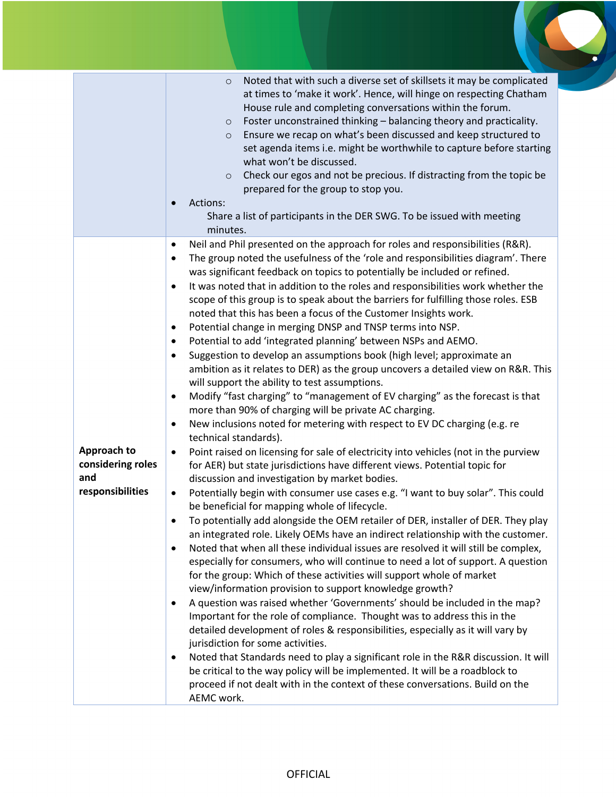|                                                             | Noted that with such a diverse set of skillsets it may be complicated<br>$\circ$<br>at times to 'make it work'. Hence, will hinge on respecting Chatham<br>House rule and completing conversations within the forum.<br>Foster unconstrained thinking - balancing theory and practicality.<br>$\circ$<br>Ensure we recap on what's been discussed and keep structured to<br>$\circ$<br>set agenda items i.e. might be worthwhile to capture before starting<br>what won't be discussed.<br>Check our egos and not be precious. If distracting from the topic be<br>$\circ$<br>prepared for the group to stop you.<br>Actions:<br>Share a list of participants in the DER SWG. To be issued with meeting<br>minutes.                                                                                                                                                                                                                                                                                                                                                                                                                                                                                                                                                                                                                                                                                                                                                                                                                                                                                                                                                                                                                                                                                                                                                                                                                                                                                                                                                                                                                                                                                                                                                                                                                                                                                                                                                                                                                                                                                   |
|-------------------------------------------------------------|-------------------------------------------------------------------------------------------------------------------------------------------------------------------------------------------------------------------------------------------------------------------------------------------------------------------------------------------------------------------------------------------------------------------------------------------------------------------------------------------------------------------------------------------------------------------------------------------------------------------------------------------------------------------------------------------------------------------------------------------------------------------------------------------------------------------------------------------------------------------------------------------------------------------------------------------------------------------------------------------------------------------------------------------------------------------------------------------------------------------------------------------------------------------------------------------------------------------------------------------------------------------------------------------------------------------------------------------------------------------------------------------------------------------------------------------------------------------------------------------------------------------------------------------------------------------------------------------------------------------------------------------------------------------------------------------------------------------------------------------------------------------------------------------------------------------------------------------------------------------------------------------------------------------------------------------------------------------------------------------------------------------------------------------------------------------------------------------------------------------------------------------------------------------------------------------------------------------------------------------------------------------------------------------------------------------------------------------------------------------------------------------------------------------------------------------------------------------------------------------------------------------------------------------------------------------------------------------------------|
| Approach to<br>considering roles<br>and<br>responsibilities | Neil and Phil presented on the approach for roles and responsibilities (R&R).<br>٠<br>The group noted the usefulness of the 'role and responsibilities diagram'. There<br>was significant feedback on topics to potentially be included or refined.<br>It was noted that in addition to the roles and responsibilities work whether the<br>٠<br>scope of this group is to speak about the barriers for fulfilling those roles. ESB<br>noted that this has been a focus of the Customer Insights work.<br>Potential change in merging DNSP and TNSP terms into NSP.<br>٠<br>Potential to add 'integrated planning' between NSPs and AEMO.<br>٠<br>Suggestion to develop an assumptions book (high level; approximate an<br>٠<br>ambition as it relates to DER) as the group uncovers a detailed view on R&R. This<br>will support the ability to test assumptions.<br>Modify "fast charging" to "management of EV charging" as the forecast is that<br>٠<br>more than 90% of charging will be private AC charging.<br>New inclusions noted for metering with respect to EV DC charging (e.g. re<br>$\bullet$<br>technical standards).<br>Point raised on licensing for sale of electricity into vehicles (not in the purview<br>٠<br>for AER) but state jurisdictions have different views. Potential topic for<br>discussion and investigation by market bodies.<br>Potentially begin with consumer use cases e.g. "I want to buy solar". This could<br>٠<br>be beneficial for mapping whole of lifecycle.<br>To potentially add alongside the OEM retailer of DER, installer of DER. They play<br>$\bullet$<br>an integrated role. Likely OEMs have an indirect relationship with the customer.<br>Noted that when all these individual issues are resolved it will still be complex,<br>$\bullet$<br>especially for consumers, who will continue to need a lot of support. A question<br>for the group: Which of these activities will support whole of market<br>view/information provision to support knowledge growth?<br>A question was raised whether 'Governments' should be included in the map?<br>$\bullet$<br>Important for the role of compliance. Thought was to address this in the<br>detailed development of roles & responsibilities, especially as it will vary by<br>jurisdiction for some activities.<br>Noted that Standards need to play a significant role in the R&R discussion. It will<br>٠<br>be critical to the way policy will be implemented. It will be a roadblock to<br>proceed if not dealt with in the context of these conversations. Build on the<br>AEMC work. |

 $\blacksquare$